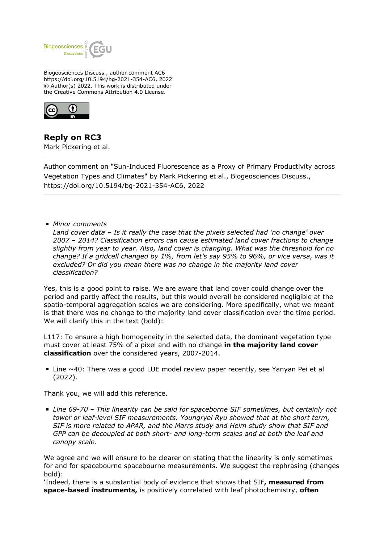

Biogeosciences Discuss., author comment AC6 https://doi.org/10.5194/bg-2021-354-AC6, 2022 © Author(s) 2022. This work is distributed under the Creative Commons Attribution 4.0 License.



**Reply on RC3**

Mark Pickering et al.

Author comment on "Sun-Induced Fluorescence as a Proxy of Primary Productivity across Vegetation Types and Climates" by Mark Pickering et al., Biogeosciences Discuss., https://doi.org/10.5194/bg-2021-354-AC6, 2022

*Minor comments*

*Land cover data – Is it really the case that the pixels selected had 'no change' over 2007 – 2014? Classification errors can cause estimated land cover fractions to change slightly from year to year. Also, land cover is changing. What was the threshold for no change? If a gridcell changed by 1%, from let's say 95% to 96%, or vice versa, was it excluded? Or did you mean there was no change in the majority land cover classification?*

Yes, this is a good point to raise. We are aware that land cover could change over the period and partly affect the results, but this would overall be considered negligible at the spatio-temporal aggregation scales we are considering. More specifically, what we meant is that there was no change to the majority land cover classification over the time period. We will clarify this in the text (bold):

L117: To ensure a high homogeneity in the selected data, the dominant vegetation type must cover at least 75% of a pixel and with no change **in the majority land cover classification** over the considered years, 2007-2014.

 $\blacksquare$  Line ~40: There was a good LUE model review paper recently, see Yanyan Pei et al (2022).

Thank you, we will add this reference.

*Line 69-70 – This linearity can be said for spaceborne SIF sometimes, but certainly not tower or leaf-level SIF measurements. Youngryel Ryu showed that at the short term, SIF is more related to APAR, and the Marrs study and Helm study show that SIF and GPP can be decoupled at both short- and long-term scales and at both the leaf and canopy scale.*

We agree and we will ensure to be clearer on stating that the linearity is only sometimes for and for spacebourne spacebourne measurements. We suggest the rephrasing (changes bold):

'Indeed, there is a substantial body of evidence that shows that SIF**, measured from space-based instruments,** is positively correlated with leaf photochemistry, **often**